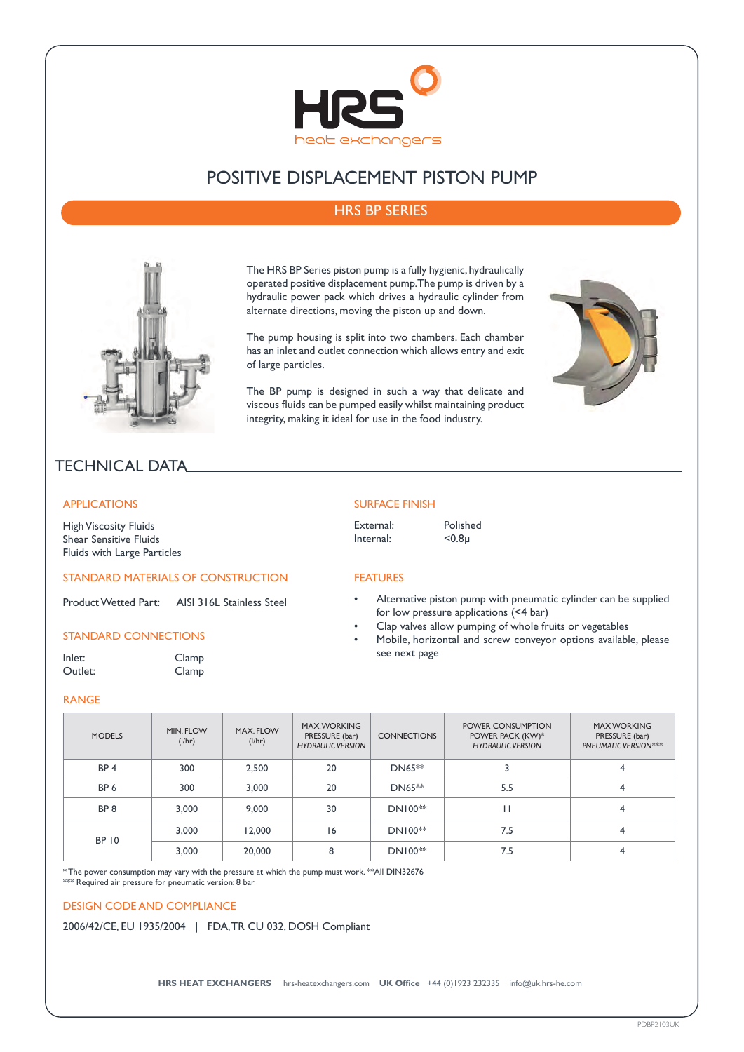

# POSITIVE DISPLACEMENT PISTON PUMP

## HRS BP SERIES



The HRS BP Series piston pump is a fully hygienic, hydraulically operated positive displacement pump. The pump is driven by a hydraulic power pack which drives a hydraulic cylinder from alternate directions, moving the piston up and down.

The pump housing is split into two chambers. Each chamber has an inlet and outlet connection which allows entry and exit of large particles.

The BP pump is designed in such a way that delicate and viscous fluids can be pumped easily whilst maintaining product integrity, making it ideal for use in the food industry.



## TECHNICAL DATA

#### APPLICATIONS

High Viscosity Fluids Shear Sensitive Fluids Fluids with Large Particles

#### STANDARD MATERIALS OF CONSTRUCTION

Product Wetted Part: AISI 316L Stainless Steel

### STANDARD CONNECTIONS

Inlet: Clamp Outlet: Clamp

#### RANGE

## SURFACE FINISH

External: Polished<br>Internal: <0.8u Internal:

FEATURES

- Alternative piston pump with pneumatic cylinder can be supplied for low pressure applications (<4 bar)
- Clap valves allow pumping of whole fruits or vegetables
- Mobile, horizontal and screw conveyor options available, please see next page

| <b>MODELS</b>   | MIN. FLOW<br>(l/hr) | MAX. FLOW<br>(1/hr) | <b>MAX.WORKING</b><br>PRESSURE (bar)<br><b>HYDRAULIC VERSION</b> | <b>CONNECTIONS</b> | POWER CONSUMPTION<br>POWER PACK (KW)*<br><b>HYDRAULIC VERSION</b> | <b>MAX WORKING</b><br>PRESSURE (bar)<br>PNEUMATIC VERSION*** |
|-----------------|---------------------|---------------------|------------------------------------------------------------------|--------------------|-------------------------------------------------------------------|--------------------------------------------------------------|
| BP <sub>4</sub> | 300                 | 2,500               | 20                                                               | DN65 <sup>**</sup> |                                                                   | 4                                                            |
| BP <sub>6</sub> | 300                 | 3.000               | 20                                                               | DN65 <sup>**</sup> | 5.5                                                               |                                                              |
| BP <sub>8</sub> | 3.000               | 9,000               | 30                                                               | $DN100**$          |                                                                   | 4                                                            |
| <b>BP 10</b>    | 3.000               | 12,000              | 6                                                                | $DN100**$          | 7.5                                                               | 4                                                            |
|                 | 3,000               | 20,000              | 8                                                                | $DN100**$          | 7.5                                                               |                                                              |

\* The power consumption may vary with the pressure at which the pump must work. \*\*All DIN32676

\*\*\* Required air pressure for pneumatic version: 8 bar

#### DESIGN CODE AND COMPLIANCE

2006/42/CE, EU 1935/2004 | FDA, TR CU 032, DOSH Compliant

**HRS HEAT EXCHANGERS** hrs-heatexchangers.com **UK Office** +44 (0)1923 232335 info@uk.hrs-he.com